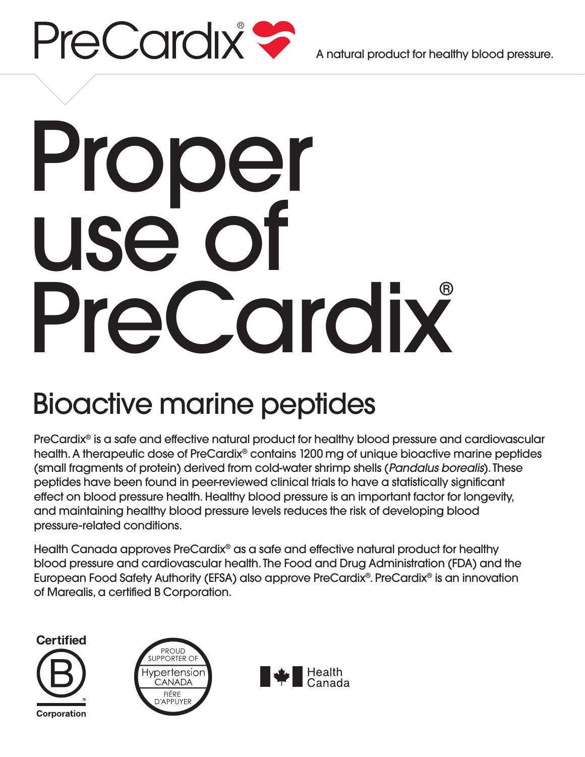

A natural product for healthy blood pressure.

# Proper use of PreCardix

## Bioactive marine peptides

PreCardix® is a safe and effective natural product for healthy blood pressure and cardiovascular health. A therapeutic dose of PreCardix® contains 1200 mg of unique bioactive marine peptides (small fragments of protein) derived from cold-water shrimp shells (*Pandalus borealis*). These peptides have been found in peer-reviewed clinical trials to have a statistically significant effect on blood pressure health. Healthy blood pressure is an important factor for longevity, and maintaining healthy blood pressure levels reduces the risk of developing blood pressure-related conditions.

Health Canada approves PreCardix® as a safe and effective natural product for healthy blood pressure and cardiovascular health. The Food and Drug Administration (FDA) and the European Food Safety Authority (EFSA) also approve PreCardix®. PreCardix® is an innovation of Marealis, a certified B Corporation.

**Certified** Corporation



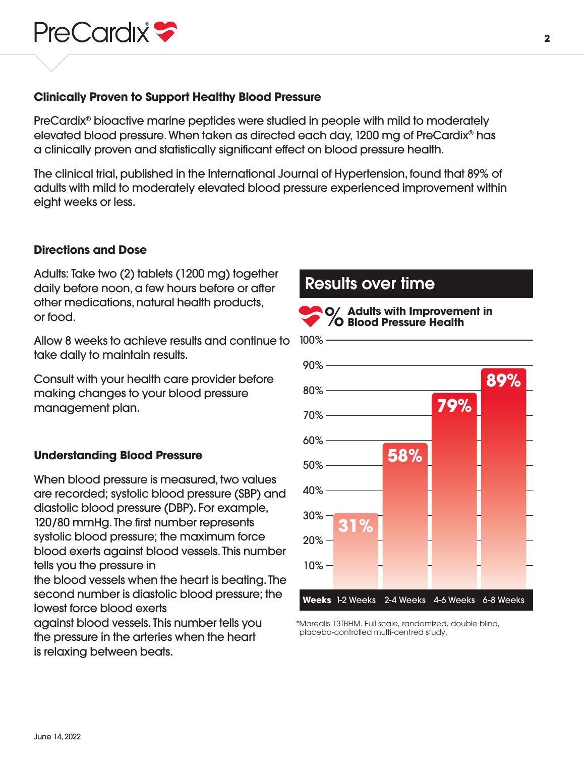

#### **Clinically Proven to Support Healthy Blood Pressure**

PreCardix® bioactive marine peptides were studied in people with mild to moderately elevated blood pressure. When taken as directed each day, 1200 mg of PreCardix® has a clinically proven and statistically significant effect on blood pressure health.

The clinical trial, published in the International Journal of Hypertension, found that 89% of adults with mild to moderately elevated blood pressure experienced improvement within eight weeks or less.

#### **Directions and Dose**

Adults: Take two (2) tablets (1200 mg) together daily before noon, a few hours before or after other medications, natural health products, or food.

Allow 8 weeks to achieve results and continue to take daily to maintain results.

Consult with your health care provider before making changes to your blood pressure management plan.

#### **Understanding Blood Pressure**

When blood pressure is measured, two values are recorded; systolic blood pressure (SBP) and diastolic blood pressure (DBP). For example, 120/80 mmHg. The first number represents systolic blood pressure; the maximum force blood exerts against blood vessels. This number tells you the pressure in

the blood vessels when the heart is beating. The second number is diastolic blood pressure; the lowest force blood exerts

against blood vessels. This number tells you the pressure in the arteries when the heart is relaxing between beats.

## Results over time



\*Marealis 13TBHM. Full scale, randomized, double blind, placebo-controlled multi-centred study.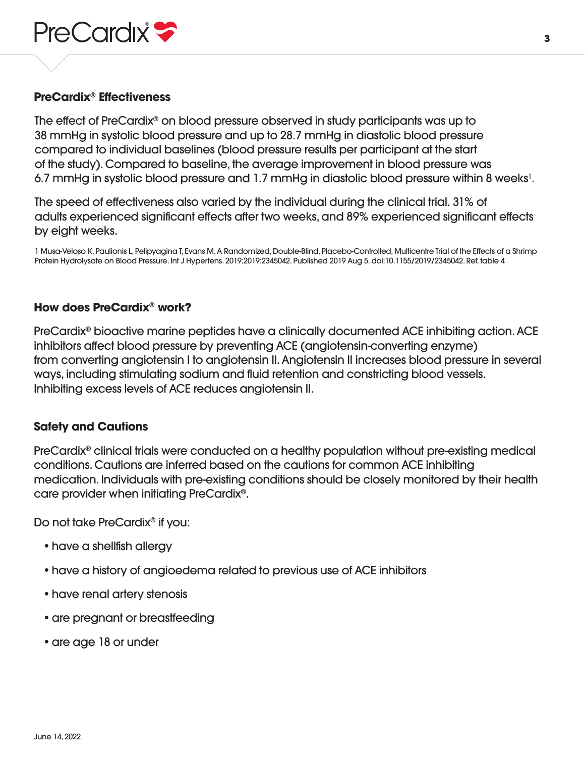

#### **PreCardix® Effectiveness**

The effect of PreCardix® on blood pressure observed in study participants was up to 38 mmHg in systolic blood pressure and up to 28.7 mmHg in diastolic blood pressure compared to individual baselines (blood pressure results per participant at the start of the study). Compared to baseline, the average improvement in blood pressure was 6.7 mmHg in systolic blood pressure and 1.7 mmHg in diastolic blood pressure within 8 weeks<sup>1</sup>.

The speed of effectiveness also varied by the individual during the clinical trial. 31% of adults experienced significant effects after two weeks, and 89% experienced significant effects by eight weeks.

1 Musa-Veloso K, Paulionis L, Pelipyagina T, Evans M. A Randomized, Double-Blind, Placebo-Controlled, Multicentre Trial of the Effects of a Shrimp Protein Hydrolysate on Blood Pressure. Int J Hypertens. 2019;2019:2345042. Published 2019 Aug 5. doi:10.1155/2019/2345042. Ref. table 4

#### **How does PreCardix® work?**

PreCardix® bioactive marine peptides have a clinically documented ACE inhibiting action. ACE inhibitors affect blood pressure by preventing ACE (angiotensin-converting enzyme) from converting angiotensin I to angiotensin II. Angiotensin II increases blood pressure in several ways, including stimulating sodium and fluid retention and constricting blood vessels. Inhibiting excess levels of ACE reduces angiotensin II.

#### **Safety and Cautions**

PreCardix® clinical trials were conducted on a healthy population without pre-existing medical conditions. Cautions are inferred based on the cautions for common ACE inhibiting medication. Individuals with pre-existing conditions should be closely monitored by their health care provider when initiating PreCardix®.

Do not take PreCardix® if you:

- have a shellfish allergy
- have a history of angioedema related to previous use of ACE inhibitors
- have renal artery stenosis
- are pregnant or breastfeeding
- are age 18 or under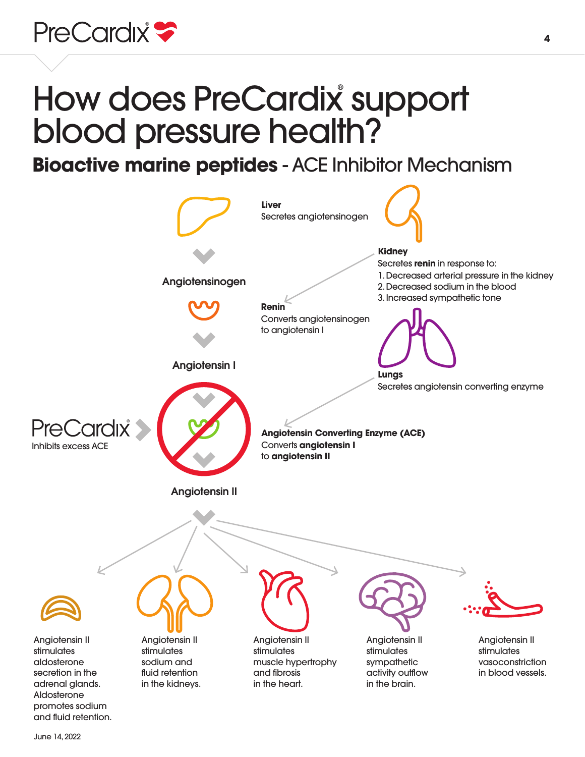

# How does PreCardix support blood pressure health?

**Bioactive marine peptides** - ACE Inhibitor Mechanism

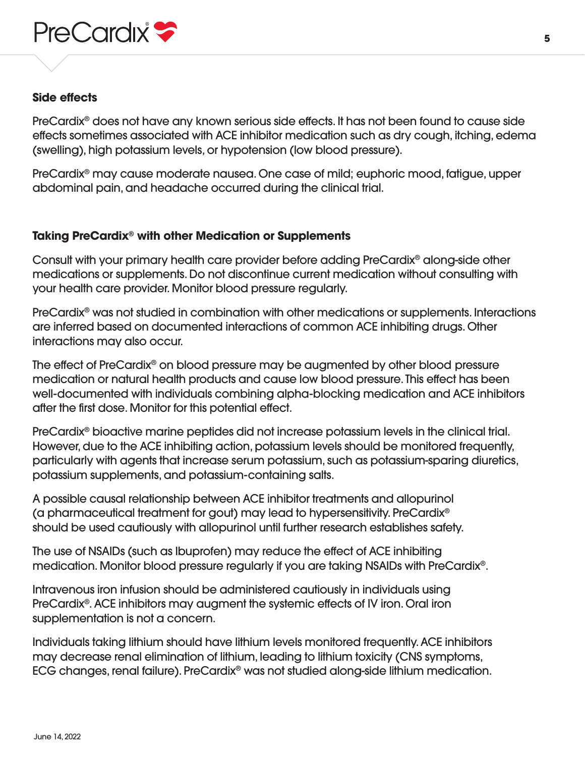

#### **Side effects**

PreCardix® does not have any known serious side effects. It has not been found to cause side effects sometimes associated with ACE inhibitor medication such as dry cough, itching, edema (swelling), high potassium levels, or hypotension (low blood pressure).

PreCardix® may cause moderate nausea. One case of mild; euphoric mood, fatigue, upper abdominal pain, and headache occurred during the clinical trial.

#### **Taking PreCardix® with other Medication or Supplements**

Consult with your primary health care provider before adding PreCardix® along-side other medications or supplements. Do not discontinue current medication without consulting with your health care provider. Monitor blood pressure regularly.

PreCardix® was not studied in combination with other medications or supplements. Interactions are inferred based on documented interactions of common ACE inhibiting drugs. Other interactions may also occur.

The effect of PreCardix® on blood pressure may be augmented by other blood pressure medication or natural health products and cause low blood pressure. This effect has been well-documented with individuals combining alpha-blocking medication and ACE inhibitors after the first dose. Monitor for this potential effect.

PreCardix® bioactive marine peptides did not increase potassium levels in the clinical trial. However, due to the ACE inhibiting action, potassium levels should be monitored frequently, particularly with agents that increase serum potassium, such as potassium-sparing diuretics, potassium supplements, and potassium-containing salts.

A possible causal relationship between ACE inhibitor treatments and allopurinol (a pharmaceutical treatment for gout) may lead to hypersensitivity. PreCardix® should be used cautiously with allopurinol until further research establishes safety.

The use of NSAIDs (such as Ibuprofen) may reduce the effect of ACE inhibiting medication. Monitor blood pressure regularly if you are taking NSAIDs with PreCardix®.

Intravenous iron infusion should be administered cautiously in individuals using PreCardix®. ACE inhibitors may augment the systemic effects of IV iron. Oral iron supplementation is not a concern.

Individuals taking lithium should have lithium levels monitored frequently. ACE inhibitors may decrease renal elimination of lithium, leading to lithium toxicity (CNS symptoms, ECG changes, renal failure). PreCardix® was not studied along-side lithium medication.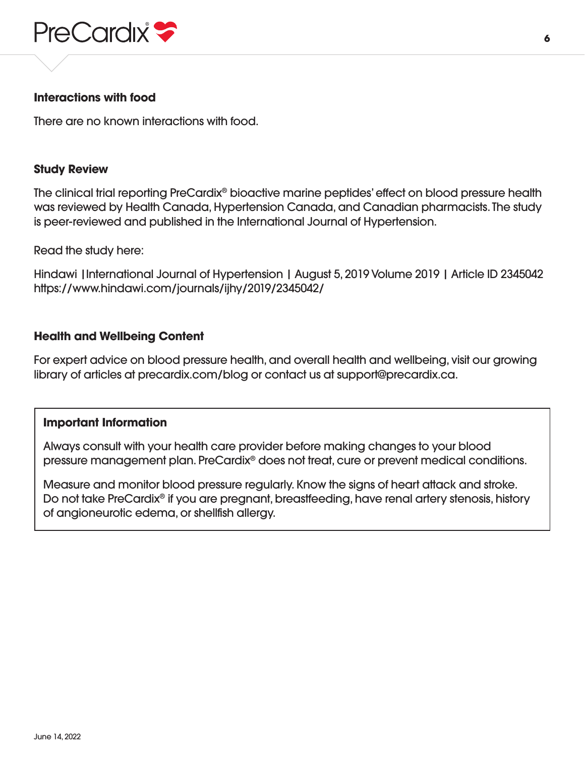

#### **Interactions with food**

There are no known interactions with food.

#### **Study Review**

The clinical trial reporting PreCardix® bioactive marine peptides' effect on blood pressure health was reviewed by Health Canada, Hypertension Canada, and Canadian pharmacists. The study is peer-reviewed and published in the International Journal of Hypertension.

Read the study here:

Hindawi |International Journal of Hypertension | August 5, 2019 Volume 2019 | Article ID 2345042 https://www.hindawi.com/journals/ijhy/2019/2345042/

#### **Health and Wellbeing Content**

For expert advice on blood pressure health, and overall health and wellbeing, visit our growing library of articles at precardix.com/blog or contact us at support@precardix.ca.

#### **Important Information**

 Always consult with your health care provider before making changes to your blood pressure management plan. PreCardix® does not treat, cure or prevent medical conditions.

 Measure and monitor blood pressure regularly. Know the signs of heart attack and stroke. Do not take PreCardix<sup>®</sup> if you are pregnant, breastfeeding, have renal artery stenosis, history of angioneurotic edema, or shellfish allergy.